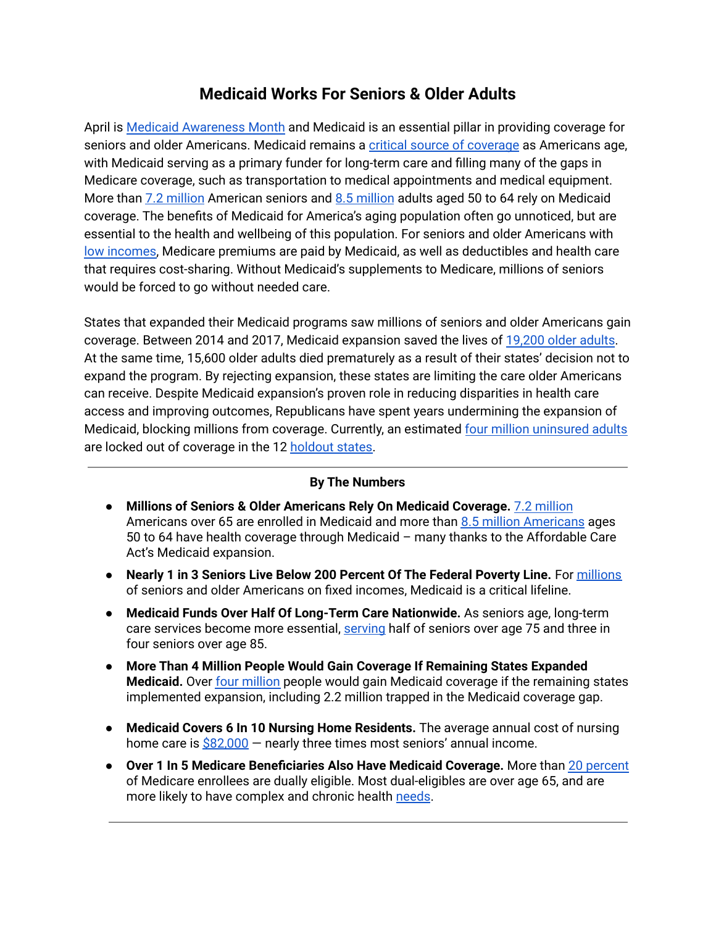## **Medicaid Works For Seniors & Older Adults**

April is Medicaid [Awareness](https://www.medicaidawareness.com/) Month and Medicaid is an essential pillar in providing coverage for seniors and older Americans. Medicaid remains a critical source of [coverage](https://www.cbpp.org/research/health/medicaid-works-for-seniors) as Americans age, with Medicaid serving as a primary funder for long-term care and filling many of the gaps in Medicare coverage, such as transportation to medical appointments and medical equipment. More than 7.2 [million](https://www.cbpp.org/research/health/taking-away-medicaid-for-not-meeting-work-requirements-harms-older-americans) American seniors and 8.5 million adults aged 50 to 64 rely on Medicaid coverage. The benefits of Medicaid for America's aging population often go unnoticed, but are essential to the health and wellbeing of this population. For seniors and older Americans with low [incomes,](https://www.cbpp.org/research/health/medicaid-works-for-seniors) Medicare premiums are paid by Medicaid, as well as deductibles and health care that requires cost-sharing. Without Medicaid's supplements to Medicare, millions of seniors would be forced to go without needed care.

States that expanded their Medicaid programs saw millions of seniors and older Americans gain coverage. Between 2014 and 2017, Medicaid expansion saved the lives of [19,200](https://www.cbpp.org/research/health/medicaid-expansion-has-saved-at-least-19000-lives-new-research-finds) older adults. At the same time, 15,600 older adults died prematurely as a result of their states' decision not to expand the program. By rejecting expansion, these states are limiting the care older Americans can receive. Despite Medicaid expansion's proven role in reducing disparities in health care access and improving outcomes, Republicans have spent years undermining the expansion of Medicaid, blocking millions from coverage. Currently, an estimated four million [uninsured](https://www.kff.org/medicaid/issue-brief/the-coverage-gap-uninsured-poor-adults-in-states-that-do-not-expand-medicaid/) adults are locked out of coverage in the 12 [holdout](https://www.kff.org/medicaid/issue-brief/status-of-state-medicaid-expansion-decisions-interactive-map/) states.

## **By The Numbers**

- **● Millions of Seniors & Older Americans Rely On Medicaid Coverage.** 7.2 [million](https://www.medicaid.gov/medicaid/eligibility/seniors-medicare-and-medicaid-enrollees/index.html#:~:text=Medicaid%20provides%20health%20coverage%20to,are%20also%20enrolled%20in%20Medicare.) Americans over 65 are enrolled in Medicaid and more than 8.5 million [Americans](https://www.cbpp.org/research/health/how-medicaid-work-requirements-will-harm-older-americans) ages 50 to 64 have health coverage through Medicaid – many thanks to the Affordable Care Act's Medicaid expansion.
- **Nearly 1 in 3 Seniors Live Below 200 Percent Of The Federal Poverty Line.** For [millions](https://www.kff.org/infographic/medicaids-role-for-seniors/) of seniors and older Americans on fixed incomes, Medicaid is a critical lifeline.
- **Medicaid Funds Over Half Of Long-Term Care Nationwide.** As seniors age, long-term care services become more essential, [serving](https://www.kff.org/infographic/medicaids-role-for-seniors/) half of seniors over age 75 and three in four seniors over age 85.
- **More Than 4 Million People Would Gain Coverage If Remaining States Expanded Medicaid.** Over four [million](https://www.kff.org/medicaid/issue-brief/the-coverage-gap-uninsured-poor-adults-in-states-that-do-not-expand-medicaid/) people would gain Medicaid coverage if the remaining states implemented expansion, including 2.2 million trapped in the Medicaid coverage gap.
- **● Medicaid Covers 6 In 10 Nursing Home Residents.** The average annual cost of nursing home care is  $$82,000$  – nearly three times most seniors' annual income.
- **● Over 1 In 5 Medicare Beneficiaries Also Have Medicaid Coverage.** More than 20 [percent](https://www.cbpp.org/research/health/medicaid-works-for-seniors) of Medicare enrollees are dually eligible. Most dual-eligibles are over age 65, and are more likely to have complex and chronic health [needs](https://www.cms.gov/Medicare-Medicaid-Coordination/Medicare-and-Medicaid-Coordination/Medicare-Medicaid-Coordination-Office/Downloads/DualEnrollment_2006-2015.pdf).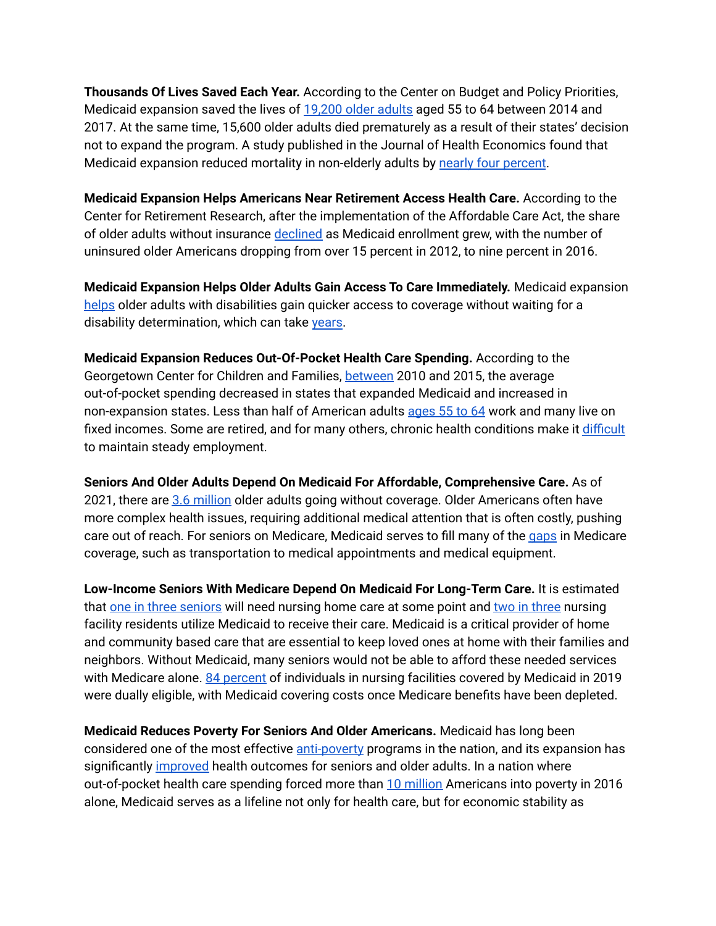**Thousands Of Lives Saved Each Year.** According to the Center on Budget and Policy Priorities, Medicaid expansion saved the lives of [19,200](https://www.cbpp.org/research/health/medicaid-expansion-has-saved-at-least-19000-lives-new-research-finds) older adults aged 55 to 64 between 2014 and 2017. At the same time, 15,600 older adults died prematurely as a result of their states' decision not to expand the program. A study published in the Journal of Health Economics found that Medicaid expansion reduced mortality in non-elderly adults by nearly four [percent](https://www.sciencedirect.com/science/article/abs/pii/S0167629619306228).

**Medicaid Expansion Helps Americans Near Retirement Access Health Care.** According to the Center for Retirement Research, after the implementation of the Affordable Care Act, the share of older adults without insurance [declined](http://crr.bc.edu/wp-content/uploads/2018/02/IB_18-5.pdf) as Medicaid enrollment grew, with the number of uninsured older Americans dropping from over 15 percent in 2012, to nine percent in 2016.

**Medicaid Expansion Helps Older Adults Gain Access To Care Immediately.** Medicaid expansion [helps](https://www.kff.org/health-reform/issue-brief/the-affordable-care-acts-impact-on-medicaid-eligibility-enrollment-and-benefits-for-people-with-disabilities/) older adults with disabilities gain quicker access to coverage without waiting for a disability determination, which can take [years](https://www.disabilitysecrets.com/resources/survey-statistics-how-long-does-it-take-to-get-approved-for-social-security-disability-benefits.html).

**Medicaid Expansion Reduces Out-Of-Pocket Health Care Spending.** According to the Georgetown Center for Children and Families, [between](https://ccf.georgetown.edu/2018/03/08/research-update-medicaid-pulls-americans-out-of-poverty-updated-edition/) 2010 and 2015, the average out-of-pocket spending decreased in states that expanded Medicaid and increased in non-expansion states. Less than half of American adults [ages](https://www.bls.gov/careeroutlook/2017/article/older-workers.htm) 55 to 64 work and many live on fixed incomes. Some are retired, and for many others, chronic health conditions make it **[difficult](https://www.cbpp.org/research/health/how-medicaid-work-requirements-will-harm-older-americans)** to maintain steady employment.

**Seniors And Older Adults Depend On Medicaid For Affordable, Comprehensive Care.** As of 2021, there are 3.6 [million](https://www.cbpp.org/blog/older-adults-benefit-if-congress-closes-the-medicaid-coverage-gap-and-boosts-premium-tax) older adults going without coverage. Older Americans often have more complex health issues, requiring additional medical attention that is often costly, pushing care out of reach. For seniors on Medicare, Medicaid serves to fill many of the [gaps](https://www.cbpp.org/research/health/medicaid-works-for-seniors) in Medicare coverage, such as transportation to medical appointments and medical equipment.

**Low-Income Seniors With Medicare Depend On Medicaid For Long-Term Care.** It is estimated that one in three [seniors](https://www.cbpp.org/research/health/medicaid-works-for-seniors) will need nursing home care at some point and two in [three](https://www.cbpp.org/research/health/medicaid-works-for-seniors) nursing facility residents utilize Medicaid to receive their care. Medicaid is a critical provider of home and community based care that are essential to keep loved ones at home with their families and neighbors. Without Medicaid, many seniors would not be able to afford these needed services with Medicare alone. 84 [percent](https://www.macpac.gov/subtopic/nursing-facilities/) of individuals in nursing facilities covered by Medicaid in 2019 were dually eligible, with Medicaid covering costs once Medicare benefits have been depleted.

**Medicaid Reduces Poverty For Seniors And Older Americans.** Medicaid has long been considered one of the most effective [anti-poverty](https://ccf.georgetown.edu/2018/03/08/research-update-medicaid-pulls-americans-out-of-poverty-updated-edition/) programs in the nation, and its expansion has significantly [improved](https://www.cbpp.org/research/health/medicaid-works-for-seniors) health outcomes for seniors and older adults. In a nation where out-of-pocket health care spending forced more than 10 [million](https://www.healthaffairs.org/doi/full/10.1377/hlthaff.2018.05155#:~:text=Abstract,%2Dof%2Dpocket%20medical%20spending.) Americans into poverty in 2016 alone, Medicaid serves as a lifeline not only for health care, but for economic stability as